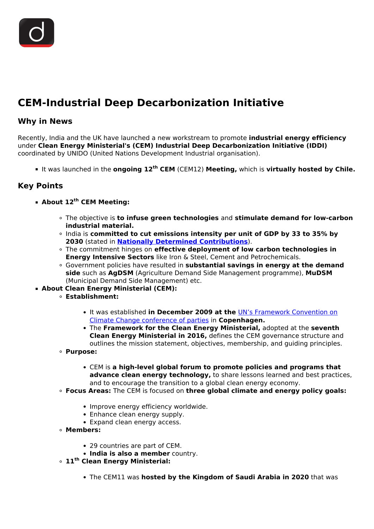# **CEM-Industrial Deep Decarbonization Initiative**

## **Why in News**

Recently, India and the UK have launched a new workstream to promote **industrial energy efficiency** under **Clean Energy Ministerial's (CEM) Industrial Deep Decarbonization Initiative (IDDI)** coordinated by UNIDO (United Nations Development Industrial organisation).

It was launched in the **ongoing 12th CEM** (CEM12) **Meeting,** which is **virtually hosted by Chile.**

## **Key Points**

### **About 12th CEM Meeting:**

- The objective is **to infuse green technologies** and **stimulate demand for low-carbon industrial material.**
- India is **committed to cut emissions intensity per unit of GDP by 33 to 35% by 2030** (stated in **[Nationally Determined Contributions](/daily-updates/daily-news-analysis/ndc-synthesis-report-unfccc#:~:text=The%20UNFCCC%2C%20in%20its%20Nationally,the%20end%20of%20the%20century.)**).
- The commitment hinges on **effective deployment of low carbon technologies in Energy Intensive Sectors** like Iron & Steel, Cement and Petrochemicals.
- Government policies have resulted in **substantial savings in energy at the demand side** such as **AgDSM** (Agriculture Demand Side Management programme), **MuDSM** (Municipal Demand Side Management) etc.
- **About Clean Energy Ministerial (CEM):**
	- **Establishment:**
		- It was established **in December 2009 at the** [UN's Framework Convention on](/important-institutions/drishti-specials-important-institutions-international-institution/unfccc) [Climate Change conference of parties](/important-institutions/drishti-specials-important-institutions-international-institution/unfccc) in **Copenhagen.**
		- The **Framework for the Clean Energy Ministerial,** adopted at the **seventh Clean Energy Ministerial in 2016,** defines the CEM governance structure and outlines the mission statement, objectives, membership, and guiding principles.
	- **Purpose:**
		- CEM is **a high-level global forum to promote policies and programs that advance clean energy technology,** to share lessons learned and best practices, and to encourage the transition to a global clean energy economy.
	- **Focus Areas:** The CEM is focused on **three global climate and energy policy goals:**
		- Improve energy efficiency worldwide.
		- Enhance clean energy supply.
		- Expand clean energy access.
	- **Members:**
		- 29 countries are part of CEM.
		- **India is also a member** country.
	- **11th Clean Energy Ministerial:**
		- The CEM11 was **hosted by the Kingdom of Saudi Arabia in 2020** that was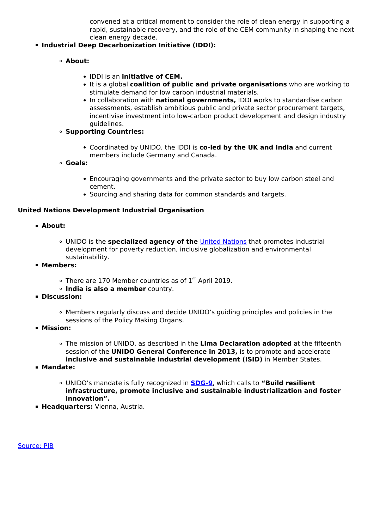convened at a critical moment to consider the role of clean energy in supporting a rapid, sustainable recovery, and the role of the CEM community in shaping the next clean energy decade.

### **Industrial Deep Decarbonization Initiative (IDDI):**

- **About:**
	- IDDI is an **initiative of CEM.**
	- It is a global **coalition of public and private organisations** who are working to stimulate demand for low carbon industrial materials.
	- In collaboration with **national governments,** IDDI works to standardise carbon assessments, establish ambitious public and private sector procurement targets, incentivise investment into low-carbon product development and design industry guidelines.
- **Supporting Countries:**
	- Coordinated by UNIDO, the IDDI is **co-led by the UK and India** and current members include Germany and Canada.
- **Goals:**
	- Encouraging governments and the private sector to buy low carbon steel and cement.
	- Sourcing and sharing data for common standards and targets.

#### **United Nations Development Industrial Organisation**

- **About:**
	- UNIDO is the **specialized agency of the** [United Nations](/important-institutions/drishti-specials-important-institutions-international-institution/united-nations-1) that promotes industrial development for poverty reduction, inclusive globalization and environmental sustainability.
- **Members:**
	- $\circ$  There are 170 Member countries as of 1<sup>st</sup> April 2019.
	- **India is also a member** country.
- **Discussion:**
	- Members regularly discuss and decide UNIDO's guiding principles and policies in the sessions of the Policy Making Organs.
- **Mission:**
	- The mission of UNIDO, as described in the **Lima Declaration adopted** at the fifteenth session of the **UNIDO General Conference in 2013,** is to promote and accelerate **inclusive and sustainable industrial development (ISID)** in Member States.
- **Mandate:**
	- UNIDO's mandate is fully recognized in **[SDG-9](/to-the-points/paper3/sustainable-development-3)**, which calls to **"Build resilient infrastructure, promote inclusive and sustainable industrialization and foster innovation".**
- **Headquarters:** Vienna, Austria.

[Source: PIB](https://pib.gov.in/PressReleasePage.aspx?PRID=1723981)